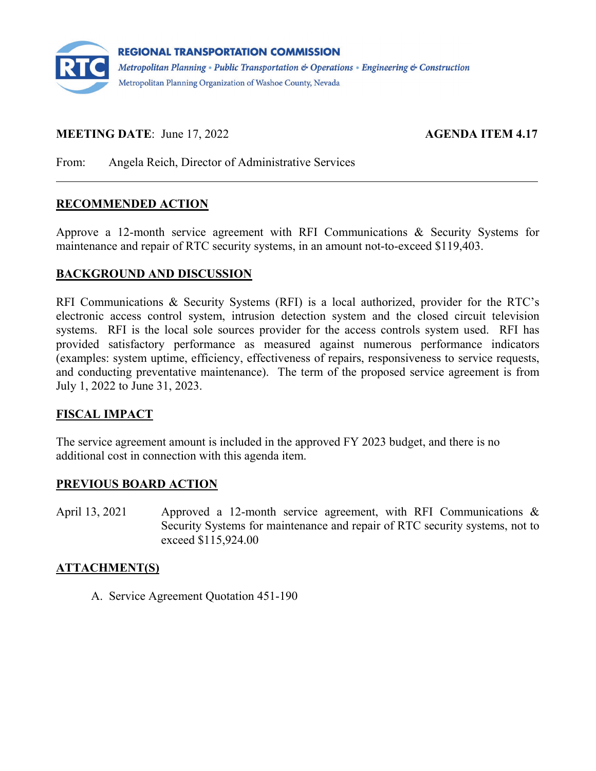

# **MEETING DATE:** June 17, 2022 **AGENDA ITEM 4.17**

From: Angela Reich, Director of Administrative Services

### **RECOMMENDED ACTION**

Approve a 12-month service agreement with RFI Communications & Security Systems for maintenance and repair of RTC security systems, in an amount not-to-exceed \$119,403.

#### **BACKGROUND AND DISCUSSION**

RFI Communications & Security Systems (RFI) is a local authorized, provider for the RTC's electronic access control system, intrusion detection system and the closed circuit television systems. RFI is the local sole sources provider for the access controls system used. RFI has provided satisfactory performance as measured against numerous performance indicators (examples: system uptime, efficiency, effectiveness of repairs, responsiveness to service requests, and conducting preventative maintenance). The term of the proposed service agreement is from July 1, 2022 to June 31, 2023.

### **FISCAL IMPACT**

The service agreement amount is included in the approved FY 2023 budget, and there is no additional cost in connection with this agenda item.

### **PREVIOUS BOARD ACTION**

April 13, 2021 Approved a 12-month service agreement, with RFI Communications & Security Systems for maintenance and repair of RTC security systems, not to exceed \$115,924.00

### **ATTACHMENT(S)**

A. Service Agreement Quotation 451-190